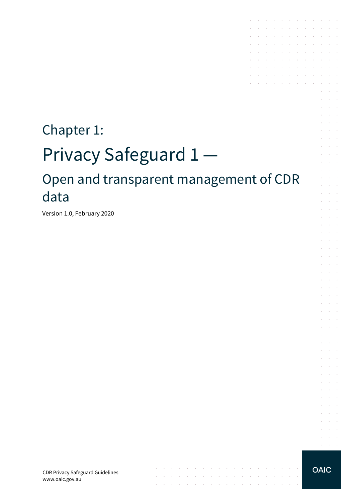# Chapter 1: Privacy Safeguard 1 — Open and transparent management of CDR data

 $\mathcal{A}$  is a set of the set of the set of the set of the set of the set of the  $\mathcal{A}$ 

 $\mathcal{A}$  . The contribution of the contribution of the contribution of the contribution of

the contract of the contract of the contract of

Version 1.0, February 2020

CDR Privacy Safeguard Guidelines www.oaic.gov.au



**Carl Carl** 

 $\alpha = 1, \ldots, n$ 

and a series of the contract of the contract of and the company of the company of the

**Contractor** 

 $\sim$ 

and a state

 $\mathcal{L}$  $\sim$  $\alpha$  and  $\alpha$ 

**College**  $\mathcal{L}^{\text{max}}$  and  $\mathcal{L}^{\text{max}}$ 

 $\sim$  $\sim$  10  $\sim$  $\sim$ 

 $\sim$ **Service** 

 $\mathcal{L}$ **Service Sales** 

 $\sim$  $\alpha$  and  $\alpha$ 

and a state

a.

 $\mathcal{A}$  . The contribution of the contribution of  $\mathcal{A}$ **Contractor** 

the control of the control of the contract of the contract of the contract of  $\mathcal{A}$  . The contribution of the contribution of the contribution of  $\mathcal{A}$  $\mathcal{L}^{\mathcal{A}}$  . The set of the set of the set of the set of the set of  $\mathcal{L}^{\mathcal{A}}$ and the company of the company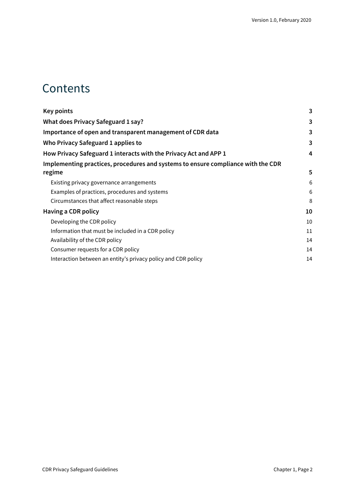### **Contents**

| <b>Key points</b>                                                                | 3  |
|----------------------------------------------------------------------------------|----|
| What does Privacy Safeguard 1 say?                                               | 3  |
| Importance of open and transparent management of CDR data                        |    |
| Who Privacy Safeguard 1 applies to                                               | 3  |
| How Privacy Safeguard 1 interacts with the Privacy Act and APP 1                 | 4  |
| Implementing practices, procedures and systems to ensure compliance with the CDR |    |
| regime                                                                           | 5  |
| Existing privacy governance arrangements                                         | 6  |
| Examples of practices, procedures and systems                                    | 6  |
| Circumstances that affect reasonable steps                                       | 8  |
| Having a CDR policy                                                              | 10 |
| Developing the CDR policy                                                        | 10 |
| Information that must be included in a CDR policy                                | 11 |
| Availability of the CDR policy                                                   | 14 |
| Consumer requests for a CDR policy                                               | 14 |
| Interaction between an entity's privacy policy and CDR policy                    | 14 |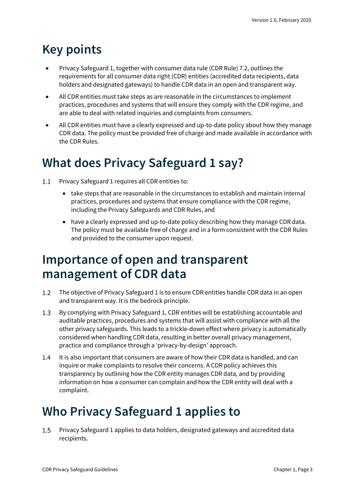# <span id="page-2-0"></span>**Key points**

- Privacy Safeguard 1, together with consumer data rule (CDR Rule) 7.2, outlines the requirements for all consumer data right (CDR) entities (accredited data recipients, data holders and designated gateways) to handle CDR data in an open and transparent way.
- All CDR entities must take steps as are reasonable in the circumstances to implement practices, procedures and systems that will ensure they comply with the CDR regime, and are able to deal with related inquiries and complaints from consumers.
- All CDR entities must have a clearly expressed and up-to-date policy about how they manage CDR data. The policy must be provided free of charge and made available in accordance with the CDR Rules.

# <span id="page-2-1"></span>**What does Privacy Safeguard 1 say?**

- $1.1$ Privacy Safeguard 1 requires all CDR entities to:
	- take steps that are reasonable in the circumstances to establish and maintain internal practices, procedures and systems that ensure compliance with the CDR regime, including the Privacy Safeguards and CDR Rules, and
	- have a clearly expressed and up-to-date policy describing how they manage CDR data. The policy must be available free of charge and in a form consistent with the CDR Rules and provided to the consumer upon request.

## <span id="page-2-2"></span>**Importance of open and transparent management of CDR data**

- The objective of Privacy Safeguard 1 is to ensure CDR entities handle CDR data in an open  $1.2$ and transparent way. It is the bedrock principle.
- $1.3$ By complying with Privacy Safeguard 1, CDR entities will be establishing accountable and auditable practices, procedures and systems that will assist with compliance with all the other privacy safeguards. This leads to a trickle-down effect where privacy is automatically considered when handling CDR data, resulting in better overall privacy management, practice and compliance through a 'privacy-by-design' approach.
- $1.4$ It is also important that consumers are aware of how their CDR data is handled, and can inquire or make complaints to resolve their concerns. A CDR policy achieves this transparency by outlining how the CDR entity manages CDR data, and by providing information on how a consumer can complain and how the CDR entity will deal with a complaint.

# <span id="page-2-3"></span>**Who Privacy Safeguard 1 applies to**

 $1.5$ Privacy Safeguard 1 applies to data holders, designated gateways and accredited data recipients.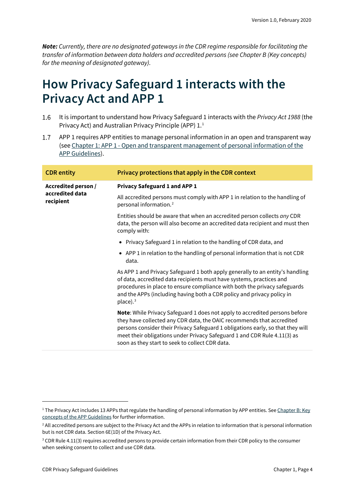*Note: Currently, there are no designated gateways in the CDR regime responsible for facilitating the transfer of information between data holders and accredited persons (see Chapter B (Key concepts) for the meaning of designated gateway).*

### <span id="page-3-0"></span>**How Privacy Safeguard 1 interacts with the Privacy Act and APP 1**

- It is important to understand how Privacy Safeguard 1 interacts with the *Privacy Act 1988* (the 1.6 Privacy Act) and Australian Privacy Principle (APP) [1](#page-3-1).<sup>1</sup>
- $1.7$ APP 1 requires APP entities to manage personal information in an open and transparent way (see Chapter 1: APP 1 - [Open and transparent management of personal information of the](https://www.oaic.gov.au/privacy/australian-privacy-principles-guidelines/chapter-1-app-1-open-and-transparent-management-of-personal-information/)  [APP Guidelines\)](https://www.oaic.gov.au/privacy/australian-privacy-principles-guidelines/chapter-1-app-1-open-and-transparent-management-of-personal-information/).

| Privacy protections that apply in the CDR context                                                                                                                                                                                                                                                                                                                             |
|-------------------------------------------------------------------------------------------------------------------------------------------------------------------------------------------------------------------------------------------------------------------------------------------------------------------------------------------------------------------------------|
| <b>Privacy Safeguard 1 and APP 1</b>                                                                                                                                                                                                                                                                                                                                          |
| All accredited persons must comply with APP 1 in relation to the handling of<br>personal information. <sup>2</sup>                                                                                                                                                                                                                                                            |
| Entities should be aware that when an accredited person collects any CDR<br>data, the person will also become an accredited data recipient and must then<br>comply with:                                                                                                                                                                                                      |
| • Privacy Safeguard 1 in relation to the handling of CDR data, and                                                                                                                                                                                                                                                                                                            |
| • APP 1 in relation to the handling of personal information that is not CDR<br>data.                                                                                                                                                                                                                                                                                          |
| As APP 1 and Privacy Safeguard 1 both apply generally to an entity's handling<br>of data, accredited data recipients must have systems, practices and<br>procedures in place to ensure compliance with both the privacy safeguards<br>and the APPs (including having both a CDR policy and privacy policy in<br>$place).$ <sup>3</sup>                                        |
| <b>Note:</b> While Privacy Safeguard 1 does not apply to accredited persons before<br>they have collected any CDR data, the OAIC recommends that accredited<br>persons consider their Privacy Safeguard 1 obligations early, so that they will<br>meet their obligations under Privacy Safeguard 1 and CDR Rule 4.11(3) as<br>soon as they start to seek to collect CDR data. |
|                                                                                                                                                                                                                                                                                                                                                                               |

<span id="page-3-1"></span><sup>&</sup>lt;sup>1</sup> The Privacy Act includes 13 APPs that regulate the handling of personal information by APP entities. See Chapter B: Key [concepts of the APP Guidelines](https://www.oaic.gov.au/privacy/australian-privacy-principles-guidelines/chapter-b-key-concepts/) for further information.

<span id="page-3-2"></span><sup>&</sup>lt;sup>2</sup> All accredited persons are subject to the Privacy Act and the APPs in relation to information that is personal information but is not CDR data. Section 6E(1D) of the Privacy Act.

<span id="page-3-3"></span><sup>&</sup>lt;sup>3</sup> CDR Rule 4.11(3) requires accredited persons to provide certain information from their CDR policy to the consumer when seeking consent to collect and use CDR data.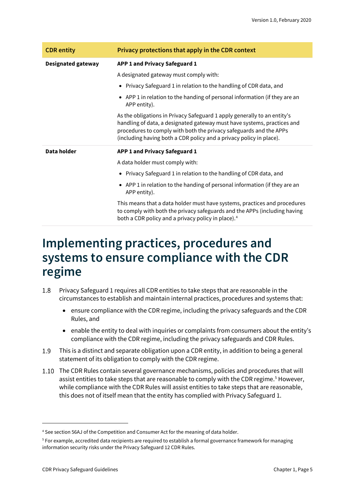| <b>CDR</b> entity         | Privacy protections that apply in the CDR context                                                                                                                                                                                                                                                |
|---------------------------|--------------------------------------------------------------------------------------------------------------------------------------------------------------------------------------------------------------------------------------------------------------------------------------------------|
| <b>Designated gateway</b> | APP 1 and Privacy Safeguard 1                                                                                                                                                                                                                                                                    |
|                           | A designated gateway must comply with:                                                                                                                                                                                                                                                           |
|                           | • Privacy Safeguard 1 in relation to the handling of CDR data, and                                                                                                                                                                                                                               |
|                           | • APP 1 in relation to the handing of personal information (if they are an<br>APP entity).                                                                                                                                                                                                       |
|                           | As the obligations in Privacy Safeguard 1 apply generally to an entity's<br>handling of data, a designated gateway must have systems, practices and<br>procedures to comply with both the privacy safeguards and the APPs<br>(including having both a CDR policy and a privacy policy in place). |
| Data holder               | APP 1 and Privacy Safeguard 1                                                                                                                                                                                                                                                                    |
|                           | A data holder must comply with:                                                                                                                                                                                                                                                                  |
|                           | • Privacy Safeguard 1 in relation to the handling of CDR data, and                                                                                                                                                                                                                               |
|                           | • APP 1 in relation to the handing of personal information (if they are an<br>APP entity).                                                                                                                                                                                                       |
|                           | This means that a data holder must have systems, practices and procedures<br>to comply with both the privacy safeguards and the APPs (including having<br>both a CDR policy and a privacy policy in place). <sup>4</sup>                                                                         |

# <span id="page-4-0"></span>**Implementing practices, procedures and systems to ensure compliance with the CDR regime**

- Privacy Safeguard 1 requires all CDR entities to take steps that are reasonable in the 1.8 circumstances to establish and maintain internal practices, procedures and systems that:
	- ensure compliance with the CDR regime, including the privacy safeguards and the CDR Rules, and
	- enable the entity to deal with inquiries or complaints from consumers about the entity's compliance with the CDR regime, including the privacy safeguards and CDR Rules.
- $1.9$ This is a distinct and separate obligation upon a CDR entity, in addition to being a general statement of its obligation to comply with the CDR regime.
- The CDR Rules contain several governance mechanisms, policies and procedures that will assist entities to take steps that are reasonable to comply with the CDR regime.<sup>[5](#page-4-2)</sup> However, while compliance with the CDR Rules will assist entities to take steps that are reasonable, this does not of itself mean that the entity has complied with Privacy Safeguard 1.

<span id="page-4-1"></span><sup>4</sup> See section 56AJ of the Competition and Consumer Act for the meaning of data holder.

<span id="page-4-2"></span><sup>5</sup> For example, accredited data recipients are required to establish a formal governance framework for managing information security risks under the Privacy Safeguard 12 CDR Rules.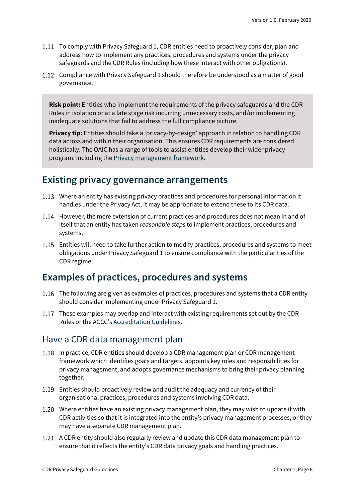- 1.11 To comply with Privacy Safeguard 1, CDR entities need to proactively consider, plan and address how to implement any practices, procedures and systems under the privacy safeguards and the CDR Rules (including how these interact with other obligations).
- 1.12 Compliance with Privacy Safeguard 1 should therefore be understood as a matter of good governance.

**Risk point:** Entities who implement the requirements of the privacy safeguards and the CDR Rules in isolation or at a late stage risk incurring unnecessary costs, and/or implementing inadequate solutions that fail to address the full compliance picture.

**Privacy tip:** Entities should take a 'privacy-by-design' approach in relation to handling CDR data across and within their organisation. This ensures CDR requirements are considered holistically. The OAIC has a range of tools to assist entities develop their wider privacy program, including th[e Privacy management framework.](https://www.oaic.gov.au/privacy/guidance-and-advice/privacy-management-framework-enabling-compliance-and-encouraging-good-practice/)

#### <span id="page-5-0"></span>**Existing privacy governance arrangements**

- Where an entity has existing privacy practices and procedures for personal information it handles under the Privacy Act, it may be appropriate to extend these to its CDR data.
- 1.14 However, the mere extension of current practices and procedures does not mean in and of itself that an entity has taken *reasonable steps* to implement practices, procedures and systems.
- Entities will need to take further action to modify practices, procedures and systems to meet obligations under Privacy Safeguard 1 to ensure compliance with the particularities of the CDR regime.

#### <span id="page-5-1"></span>**Examples of practices, procedures and systems**

- 1.16 The following are given as examples of practices, procedures and systems that a CDR entity should consider implementing under Privacy Safeguard 1.
- 1.17 These examples may overlap and interact with existing requirements set out by the CDR Rules or the ACCC's [Accreditation Guidelines.](https://www.accc.gov.au/focus-areas/consumer-data-right-cdr-0/cdr-draft-accreditation-guidelines)

#### Have a CDR data management plan

- 1.18 In practice, CDR entities should develop a CDR management plan or CDR management framework which identifies goals and targets, appoints key roles and responsibilities for privacy management, and adopts governance mechanisms to bring their privacy planning together.
- Entities should proactively review and audit the adequacy and currency of their organisational practices, procedures and systems involving CDR data.
- Where entities have an existing privacy management plan, they may wish to update it with CDR activities so that it is integrated into the entity's privacy management processes, or they may have a separate CDR management plan.
- 1.21 A CDR entity should also regularly review and update this CDR data management plan to ensure that it reflects the entity's CDR data privacy goals and handling practices.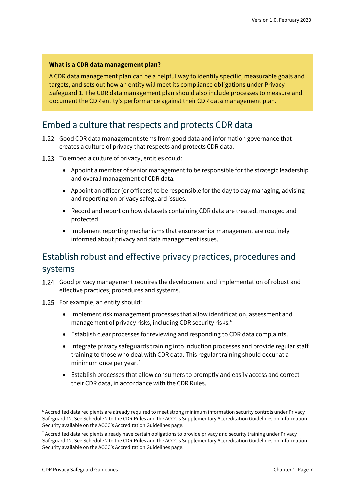#### **What is a CDR data management plan?**

A CDR data management plan can be a helpful way to identify specific, measurable goals and targets, and sets out how an entity will meet its compliance obligations under Privacy Safeguard 1. The CDR data management plan should also include processes to measure and document the CDR entity's performance against their CDR data management plan.

#### Embed a culture that respects and protects CDR data

- 1.22 Good CDR data management stems from good data and information governance that creates a culture of privacy that respects and protects CDR data.
- 1.23 To embed a culture of privacy, entities could:
	- Appoint a member of senior management to be responsible for the strategic leadership and overall management of CDR data.
	- Appoint an officer (or officers) to be responsible for the day to day managing, advising and reporting on privacy safeguard issues.
	- Record and report on how datasets containing CDR data are treated, managed and protected.
	- Implement reporting mechanisms that ensure senior management are routinely informed about privacy and data management issues.

### Establish robust and effective privacy practices, procedures and systems

- Good privacy management requires the development and implementation of robust and effective practices, procedures and systems.
- 1.25 For example, an entity should:
	- Implement risk management processes that allow identification, assessment and management of privacy risks, including CDR security risks.<sup>[6](#page-6-0)</sup>
	- Establish clear processes for reviewing and responding to CDR data complaints.
	- Integrate privacy safeguards training into induction processes and provide regular staff training to those who deal with CDR data. This regular training should occur at a minimum once per year. $<sup>7</sup>$  $<sup>7</sup>$  $<sup>7</sup>$ </sup>
	- Establish processes that allow consumers to promptly and easily access and correct their CDR data, in accordance with the CDR Rules.

<span id="page-6-0"></span><sup>6</sup> Accredited data recipients are already required to meet strong minimum information security controls under Privacy Safeguard 12. See Schedule 2 to the CDR Rules and the ACCC's Supplementary Accreditation Guidelines on Information Security available on the ACCC's Accreditation Guidelines page.

<span id="page-6-1"></span><sup>7</sup> Accredited data recipients already have certain obligations to provide privacy and security training under Privacy Safeguard 12. See Schedule 2 to the CDR Rules and the ACCC's Supplementary Accreditation Guidelines on Information Security available on the ACCC's Accreditation Guidelines page.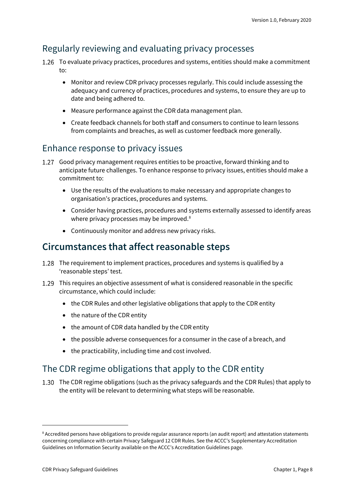### Regularly reviewing and evaluating privacy processes

- 1.26 To evaluate privacy practices, procedures and systems, entities should make a commitment  $t^{\circ}$ 
	- Monitor and review CDR privacy processes regularly. This could include assessing the adequacy and currency of practices, procedures and systems, to ensure they are up to date and being adhered to.
	- Measure performance against the CDR data management plan.
	- Create feedback channels for both staff and consumers to continue to learn lessons from complaints and breaches, as well as customer feedback more generally.

#### Enhance response to privacy issues

- Good privacy management requires entities to be proactive, forward thinking and to anticipate future challenges. To enhance response to privacy issues, entities should make a commitment to:
	- Use the results of the evaluations to make necessary and appropriate changes to organisation's practices, procedures and systems.
	- Consider having practices, procedures and systems externally assessed to identify areas where privacy processes may be improved.<sup>[8](#page-7-1)</sup>
	- Continuously monitor and address new privacy risks.

### <span id="page-7-0"></span>**Circumstances that affect reasonable steps**

- 1.28 The requirement to implement practices, procedures and systems is qualified by a 'reasonable steps' test.
- This requires an objective assessment of what is considered reasonable in the specific circumstance, which could include:
	- the CDR Rules and other legislative obligations that apply to the CDR entity
	- the nature of the CDR entity
	- the amount of CDR data handled by the CDR entity
	- the possible adverse consequences for a consumer in the case of a breach, and
	- the practicability, including time and cost involved.

#### The CDR regime obligations that apply to the CDR entity

1.30 The CDR regime obligations (such as the privacy safeguards and the CDR Rules) that apply to the entity will be relevant to determining what steps will be reasonable.

<span id="page-7-1"></span><sup>&</sup>lt;sup>8</sup> Accredited persons have obligations to provide regular assurance reports (an audit report) and attestation statements concerning compliance with certain Privacy Safeguard 12 CDR Rules. See the ACCC's Supplementary Accreditation Guidelines on Information Security available on the ACCC's Accreditation Guidelines page.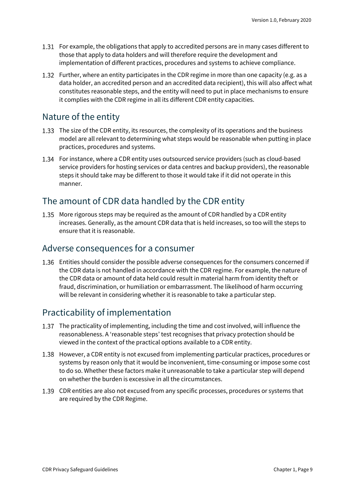- 1.31 For example, the obligations that apply to accredited persons are in many cases different to those that apply to data holders and will therefore require the development and implementation of different practices, procedures and systems to achieve compliance.
- 1.32 Further, where an entity participates in the CDR regime in more than one capacity (e.g. as a data holder, an accredited person and an accredited data recipient), this will also affect what constitutes reasonable steps, and the entity will need to put in place mechanisms to ensure it complies with the CDR regime in all its different CDR entity capacities.

#### Nature of the entity

- 1.33 The size of the CDR entity, its resources, the complexity of its operations and the business model are all relevant to determining what steps would be reasonable when putting in place practices, procedures and systems.
- For instance, where a CDR entity uses outsourced service providers (such as cloud-based service providers for hosting services or data centres and backup providers), the reasonable steps it should take may be different to those it would take if it did not operate in this manner.

#### The amount of CDR data handled by the CDR entity

1.35 More rigorous steps may be required as the amount of CDR handled by a CDR entity increases. Generally, as the amount CDR data that is held increases, so too will the steps to ensure that it is reasonable.

#### Adverse consequences for a consumer

Entities should consider the possible adverse consequences for the consumers concerned if the CDR data is not handled in accordance with the CDR regime. For example, the nature of the CDR data or amount of data held could result in material harm from identity theft or fraud, discrimination, or humiliation or embarrassment. The likelihood of harm occurring will be relevant in considering whether it is reasonable to take a particular step.

#### Practicability of implementation

- 1.37 The practicality of implementing, including the time and cost involved, will influence the reasonableness. A 'reasonable steps' test recognises that privacy protection should be viewed in the context of the practical options available to a CDR entity.
- 1.38 However, a CDR entity is not excused from implementing particular practices, procedures or systems by reason only that it would be inconvenient, time-consuming or impose some cost to do so. Whether these factors make it unreasonable to take a particular step will depend on whether the burden is excessive in all the circumstances.
- CDR entities are also not excused from any specific processes, procedures or systems that are required by the CDR Regime.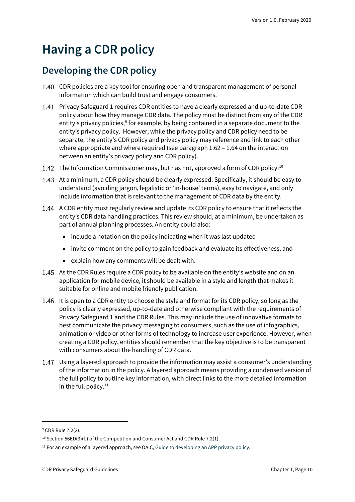# <span id="page-9-0"></span>**Having a CDR policy**

### <span id="page-9-1"></span>**Developing the CDR policy**

- CDR policies are a key tool for ensuring open and transparent management of personal information which can build trust and engage consumers.
- Privacy Safeguard 1 requires CDR entities to have a clearly expressed and up-to-date CDR policy about how they manage CDR data. The policy must be distinct from any of the CDR entity's privacy policies,<sup>[9](#page-9-2)</sup> for example, by being contained in a separate document to the entity's privacy policy. However, while the privacy policy and CDR policy need to be separate, the entity's CDR policy and privacy policy may reference and link to each other where appropriate and where required (see paragraph 1.62 – 1.64 on the interaction between an entity's privacy policy and CDR policy).
- 1.42 The Information Commissioner may, but has not, approved a form of CDR policy.<sup>[10](#page-9-3)</sup>
- 1.43 At a minimum, a CDR policy should be clearly expressed. Specifically, it should be easy to understand (avoiding jargon, legalistic or 'in-house' terms), easy to navigate, and only include information that is relevant to the management of CDR data by the entity.
- 1.44 A CDR entity must regularly review and update its CDR policy to ensure that it reflects the entity's CDR data handling practices. This review should, at a minimum, be undertaken as part of annual planning processes. An entity could also:
	- include a notation on the policy indicating when it was last updated
	- invite comment on the policy to gain feedback and evaluate its effectiveness, and
	- explain how any comments will be dealt with.
- 1.45 As the CDR Rules require a CDR policy to be available on the entity's website and on an application for mobile device, it should be available in a style and length that makes it suitable for online and mobile friendly publication.
- 1.46 It is open to a CDR entity to choose the style and format for its CDR policy, so long as the policy is clearly expressed, up-to-date and otherwise compliant with the requirements of Privacy Safeguard 1 and the CDR Rules. This may include the use of innovative formats to best communicate the privacy messaging to consumers, such as the use of infographics, animation or video or other forms of technology to increase user experience. However, when creating a CDR policy, entities should remember that the key objective is to be transparent with consumers about the handling of CDR data.
- Using a layered approach to provide the information may assist a consumer's understanding of the information in the policy. A layered approach means providing a condensed version of the full policy to outline key information, with direct links to the more detailed information in the full policy. $11$

<span id="page-9-2"></span><sup>&</sup>lt;sup>9</sup> CDR Rule 7.2(2).

<span id="page-9-3"></span><sup>&</sup>lt;sup>10</sup> Section 56ED(3)(b) of the Competition and Consumer Act and CDR Rule 7.2(1).

<span id="page-9-4"></span> $11$  For an example of a layered approach, see OAIC[, Guide to developing an APP privacy policy.](https://www.oaic.gov.au/privacy/guidance-and-advice/guide-to-developing-an-app-privacy-policy/)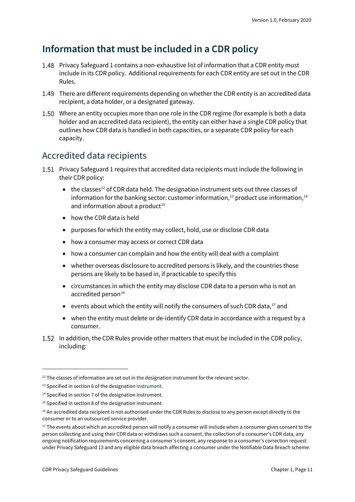### <span id="page-10-0"></span>**Information that must be included in a CDR policy**

- 1.48 Privacy Safeguard 1 contains a non-exhaustive list of information that a CDR entity must include in its CDR policy. Additional requirements for each CDR entity are set out in the CDR Rules.
- 1.49 There are different requirements depending on whether the CDR entity is an accredited data recipient, a data holder, or a designated gateway.
- 1.50 Where an entity occupies more than one role in the CDR regime (for example is both a data holder and an accredited data recipient), the entity can either have a single CDR policy that outlines how CDR data is handled in both capacities, or a separate CDR policy for each capacity.

#### Accredited data recipients

- Privacy Safeguard 1 requires that accredited data recipients must include the following in their CDR policy:
	- $\bullet$  the classes<sup>[12](#page-10-1)</sup> of CDR data held. The designation instrument sets out three classes of information for the banking sector: customer information, $^{13}$  $^{13}$  $^{13}$  product use information, $^{14}$  $^{14}$  $^{14}$ and information about a product<sup>15</sup>
	- how the CDR data is held
	- purposes for which the entity may collect, hold, use or disclose CDR data
	- how a consumer may access or correct CDR data
	- how a consumer can complain and how the entity will deal with a complaint
	- whether overseas disclosure to accredited persons is likely, and the countries those persons are likely to be based in, if practicable to specify this
	- circumstances in which the entity may disclose CDR data to a person who is not an accredited person $16$
	- events about which the entity will notify the consumers of such CDR data, $^{17}$  $^{17}$  $^{17}$  and
	- when the entity must delete or de-identify CDR data in accordance with a request by a consumer.
- 1.52 In addition, the CDR Rules provide other matters that must be included in the CDR policy, including:

<span id="page-10-1"></span> $12$  The classes of information are set out in the designation instrument for the relevant sector.

<span id="page-10-2"></span><sup>&</sup>lt;sup>13</sup> Specified in section 6 of the designation instrument.

<span id="page-10-3"></span><sup>&</sup>lt;sup>14</sup> Specified in section 7 of the designation instrument.

<span id="page-10-4"></span><sup>&</sup>lt;sup>15</sup> Specified in section 8 of the designation instrument.

<span id="page-10-5"></span><sup>&</sup>lt;sup>16</sup> An accredited data recipient is not authorised under the CDR Rules to disclose to any person except directly to the consumer or to an outsourced service provider.

<span id="page-10-6"></span><sup>&</sup>lt;sup>17</sup> The events about which an accredited person will notify a consumer will include when a consumer gives consent to the person collecting and using their CDR data or withdraws such a consent, the collection of a consumer's CDR data, any ongoing notification requirements concerning a consumer's consent, any response to a consumer's correction request under Privacy Safeguard 13 and any eligible data breach affecting a consumer under the Notifiable Data Breach scheme.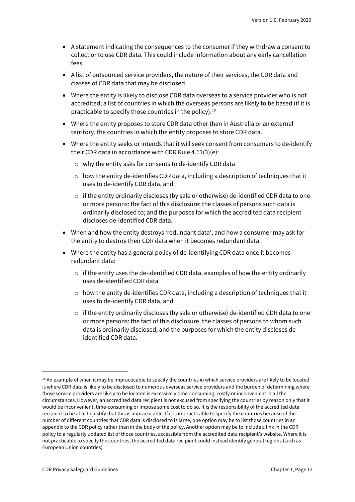- A statement indicating the consequences to the consumer if they withdraw a consent to collect or to use CDR data. This could include information about any early cancellation fees.
- A list of outsourced service providers, the nature of their services, the CDR data and classes of CDR data that may be disclosed.
- Where the entity is likely to disclose CDR data overseas to a service provider who is not accredited, a list of countries in which the overseas persons are likely to be based (if it is practicable to specify those countries in the policy). [18](#page-11-0)
- Where the entity proposes to store CDR data other than in Australia or an external territory, the countries in which the entity proposes to store CDR data.
- Where the entity seeks or intends that it will seek consent from consumers to de-identify their CDR data in accordance with CDR Rule 4.11(3)(e):
	- o why the entity asks for consents to de-identify CDR data
	- $\circ$  how the entity de-identifies CDR data, including a description of techniques that it uses to de-identify CDR data, and
	- $\circ$  if the entity ordinarily discloses (by sale or otherwise) de-identified CDR data to one or more persons: the fact of this disclosure; the classes of persons such data is ordinarily disclosed to; and the purposes for which the accredited data recipient discloses de-identified CDR data.
- When and how the entity destroys 'redundant data', and how a consumer may ask for the entity to destroy their CDR data when it becomes redundant data.
- Where the entity has a general policy of de-identifying CDR data once it becomes redundant data:
	- $\circ$  if the entity uses the de-identified CDR data, examples of how the entity ordinarily uses de-identified CDR data
	- $\circ$  how the entity de-identifies CDR data, including a description of techniques that it uses to de-identify CDR data, and
	- $\circ$  if the entity ordinarily discloses (by sale or otherwise) de-identified CDR data to one or more persons: the fact of this disclosure, the classes of persons to whom such data is ordinarily disclosed, and the purposes for which the entity discloses deidentified CDR data.

<span id="page-11-0"></span><sup>&</sup>lt;sup>18</sup> An example of when it may be impracticable to specify the countries in which service providers are likely to be located is where CDR data is likely to be disclosed to numerous overseas service providers and the burden of determining where those service providers are likely to be located is excessively time-consuming, costly or inconvenient in all the circumstances. However, an accredited data recipient is not excused from specifying the countries by reason only that it would be inconvenient, time-consuming or impose some cost to do so. It is the responsibility of the accredited data recipient to be able to justify that this is impracticable. If it is impracticable to specify the countries because of the number of different countries that CDR data is disclosed to is large, one option may be to list those countries in an appendix to the CDR policy rather than in the body of the policy. Another option may be to include a link in the CDR policy to a regularly updated list of those countries, accessible from the accredited data recipient's website. Where it is not practicable to specify the countries, the accredited data recipient could instead identify general regions (such as European Union countries).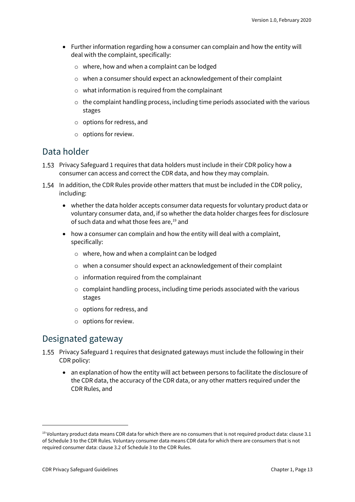- Further information regarding how a consumer can complain and how the entity will deal with the complaint, specifically:
	- o where, how and when a complaint can be lodged
	- o when a consumer should expect an acknowledgement of their complaint
	- o what information is required from the complainant
	- $\circ$  the complaint handling process, including time periods associated with the various stages
	- o options for redress, and
	- o options for review.

#### Data holder

- 1.53 Privacy Safeguard 1 requires that data holders must include in their CDR policy how a consumer can access and correct the CDR data, and how they may complain.
- 1.54 In addition, the CDR Rules provide other matters that must be included in the CDR policy, including:
	- whether the data holder accepts consumer data requests for voluntary product data or voluntary consumer data, and, if so whether the data holder charges fees for disclosure of such data and what those fees are, [19](#page-12-0) and
	- how a consumer can complain and how the entity will deal with a complaint, specifically:
		- o where, how and when a complaint can be lodged
		- $\circ$  when a consumer should expect an acknowledgement of their complaint
		- o information required from the complainant
		- $\circ$  complaint handling process, including time periods associated with the various stages
		- o options for redress, and
		- o options for review.

#### Designated gateway

- 1.55 Privacy Safeguard 1 requires that designated gateways must include the following in their CDR policy:
	- an explanation of how the entity will act between persons to facilitate the disclosure of the CDR data, the accuracy of the CDR data, or any other matters required under the CDR Rules, and

<span id="page-12-0"></span> $19$  Voluntary product data means CDR data for which there are no consumers that is not required product data: clause 3.1 of Schedule 3 to the CDR Rules. Voluntary consumer data means CDR data for which there are consumers that is not required consumer data: clause 3.2 of Schedule 3 to the CDR Rules.